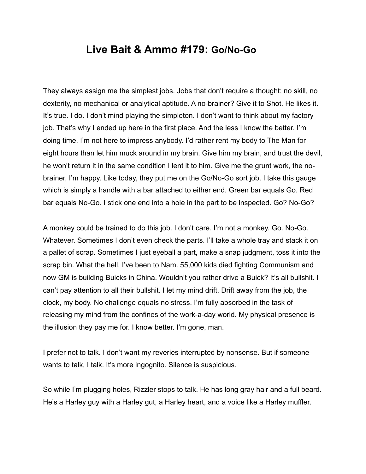## **Live Bait & Ammo #179: Go/No-Go**

They always assign me the simplest jobs. Jobs that don't require a thought: no skill, no dexterity, no mechanical or analytical aptitude. A no-brainer? Give it to Shot. He likes it. It's true. I do. I don't mind playing the simpleton. I don't want to think about my factory job. That's why I ended up here in the first place. And the less I know the better. I'm doing time. I'm not here to impress anybody. I'd rather rent my body to The Man for eight hours than let him muck around in my brain. Give him my brain, and trust the devil, he won't return it in the same condition I lent it to him. Give me the grunt work, the nobrainer, I'm happy. Like today, they put me on the Go/No-Go sort job. I take this gauge which is simply a handle with a bar attached to either end. Green bar equals Go. Red bar equals No-Go. I stick one end into a hole in the part to be inspected. Go? No-Go?

A monkey could be trained to do this job. I don't care. I'm not a monkey. Go. No-Go. Whatever. Sometimes I don't even check the parts. I'll take a whole tray and stack it on a pallet of scrap. Sometimes I just eyeball a part, make a snap judgment, toss it into the scrap bin. What the hell, I've been to Nam. 55,000 kids died fighting Communism and now GM is building Buicks in China. Wouldn't you rather drive a Buick? It's all bullshit. I can't pay attention to all their bullshit. I let my mind drift. Drift away from the job, the clock, my body. No challenge equals no stress. I'm fully absorbed in the task of releasing my mind from the confines of the work-a-day world. My physical presence is the illusion they pay me for. I know better. I'm gone, man.

I prefer not to talk. I don't want my reveries interrupted by nonsense. But if someone wants to talk, I talk. It's more ingognito. Silence is suspicious.

So while I'm plugging holes, Rizzler stops to talk. He has long gray hair and a full beard. He's a Harley guy with a Harley gut, a Harley heart, and a voice like a Harley muffler.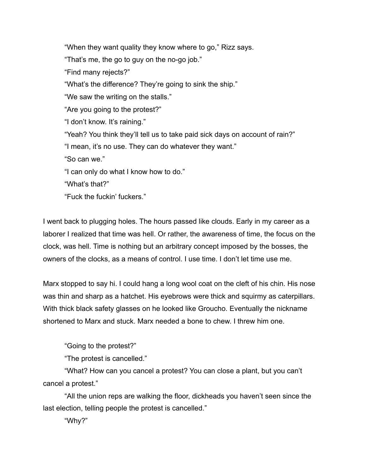"When they want quality they know where to go," Rizz says. "That's me, the go to guy on the no-go job." "Find many rejects?" "What's the difference? They're going to sink the ship." "We saw the writing on the stalls." "Are you going to the protest?" "I don't know. It's raining." "Yeah? You think they'll tell us to take paid sick days on account of rain?" "I mean, it's no use. They can do whatever they want." "So can we." "I can only do what I know how to do." "What's that?" "Fuck the fuckin' fuckers."

I went back to plugging holes. The hours passed like clouds. Early in my career as a laborer I realized that time was hell. Or rather, the awareness of time, the focus on the clock, was hell. Time is nothing but an arbitrary concept imposed by the bosses, the owners of the clocks, as a means of control. I use time. I don't let time use me.

Marx stopped to say hi. I could hang a long wool coat on the cleft of his chin. His nose was thin and sharp as a hatchet. His eyebrows were thick and squirmy as caterpillars. With thick black safety glasses on he looked like Groucho. Eventually the nickname shortened to Marx and stuck. Marx needed a bone to chew. I threw him one.

"Going to the protest?"

"The protest is cancelled."

 "What? How can you cancel a protest? You can close a plant, but you can't cancel a protest."

 "All the union reps are walking the floor, dickheads you haven't seen since the last election, telling people the protest is cancelled."

"Why?"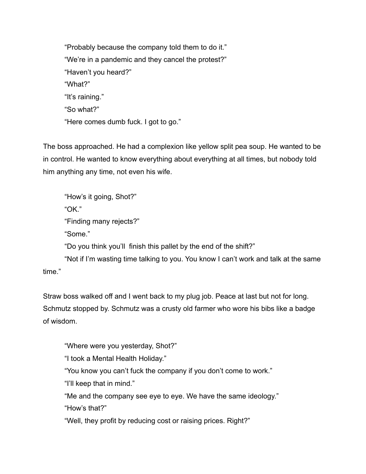"Probably because the company told them to do it." "We're in a pandemic and they cancel the protest?" "Haven't you heard?" "What?" "It's raining." "So what?" "Here comes dumb fuck. I got to go."

The boss approached. He had a complexion like yellow split pea soup. He wanted to be in control. He wanted to know everything about everything at all times, but nobody told him anything any time, not even his wife.

 "How's it going, Shot?" "OK." "Finding many rejects?" "Some." "Do you think you'll finish this pallet by the end of the shift?" "Not if I'm wasting time talking to you. You know I can't work and talk at the same

time."

Straw boss walked off and I went back to my plug job. Peace at last but not for long. Schmutz stopped by. Schmutz was a crusty old farmer who wore his bibs like a badge of wisdom.

"Where were you yesterday, Shot?"

"I took a Mental Health Holiday."

"You know you can't fuck the company if you don't come to work."

"I'll keep that in mind."

 "Me and the company see eye to eye. We have the same ideology." "How's that?"

"Well, they profit by reducing cost or raising prices. Right?"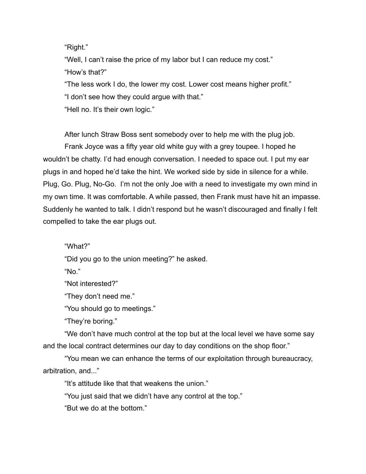"Right."

 "Well, I can't raise the price of my labor but I can reduce my cost." "How's that?" "The less work I do, the lower my cost. Lower cost means higher profit." "I don't see how they could argue with that."

"Hell no. It's their own logic."

 After lunch Straw Boss sent somebody over to help me with the plug job. Frank Joyce was a fifty year old white guy with a grey toupee. I hoped he wouldn't be chatty. I'd had enough conversation. I needed to space out. I put my ear plugs in and hoped he'd take the hint. We worked side by side in silence for a while. Plug, Go. Plug, No-Go. I'm not the only Joe with a need to investigate my own mind in my own time. It was comfortable. A while passed, then Frank must have hit an impasse. Suddenly he wanted to talk. I didn't respond but he wasn't discouraged and finally I felt compelled to take the ear plugs out.

"What?"

"Did you go to the union meeting?" he asked.

"No."

"Not interested?"

"They don't need me."

"You should go to meetings."

"They're boring."

 "We don't have much control at the top but at the local level we have some say and the local contract determines our day to day conditions on the shop floor."

 "You mean we can enhance the terms of our exploitation through bureaucracy, arbitration, and..."

"It's attitude like that that weakens the union."

"You just said that we didn't have any control at the top."

"But we do at the bottom."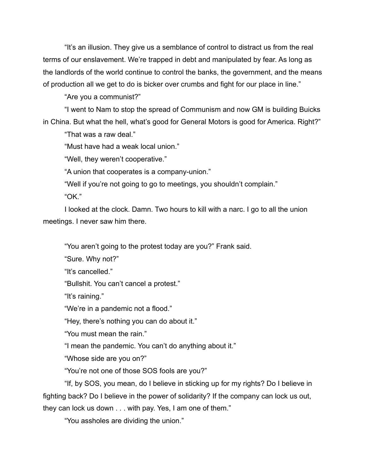"It's an illusion. They give us a semblance of control to distract us from the real terms of our enslavement. We're trapped in debt and manipulated by fear. As long as the landlords of the world continue to control the banks, the government, and the means of production all we get to do is bicker over crumbs and fight for our place in line."

"Are you a communist?"

 "I went to Nam to stop the spread of Communism and now GM is building Buicks in China. But what the hell, what's good for General Motors is good for America. Right?"

"That was a raw deal"

"Must have had a weak local union."

"Well, they weren't cooperative."

"A union that cooperates is a company-union."

"Well if you're not going to go to meetings, you shouldn't complain."

"OK."

 I looked at the clock. Damn. Two hours to kill with a narc. I go to all the union meetings. I never saw him there.

"You aren't going to the protest today are you?" Frank said.

"Sure. Why not?"

"It's cancelled."

"Bullshit. You can't cancel a protest."

"It's raining."

"We're in a pandemic not a flood."

"Hey, there's nothing you can do about it."

"You must mean the rain."

"I mean the pandemic. You can't do anything about it."

"Whose side are you on?"

"You're not one of those SOS fools are you?"

 "If, by SOS, you mean, do I believe in sticking up for my rights? Do I believe in fighting back? Do I believe in the power of solidarity? If the company can lock us out, they can lock us down . . . with pay. Yes, I am one of them."

"You assholes are dividing the union."